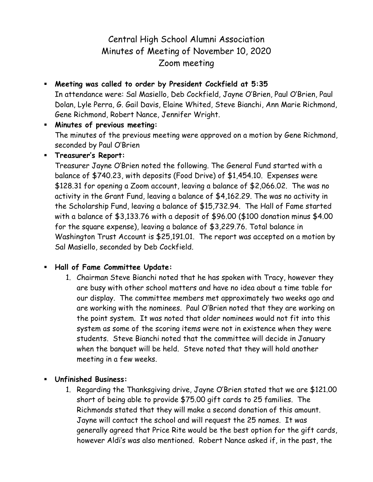## Central High School Alumni Association Minutes of Meeting of November 10, 2020 Zoom meeting

 **Meeting was called to order by President Cockfield at 5:35** In attendance were: Sal Masiello, Deb Cockfield, Jayne O'Brien, Paul O'Brien, Paul Dolan, Lyle Perra, G. Gail Davis, Elaine Whited, Steve Bianchi, Ann Marie Richmond, Gene Richmond, Robert Nance, Jennifer Wright.

 **Minutes of previous meeting:** The minutes of the previous meeting were approved on a motion by Gene Richmond, seconded by Paul O'Brien

## **Treasurer's Report:**

Treasurer Jayne O'Brien noted the following. The General Fund started with a balance of \$740.23, with deposits (Food Drive) of \$1,454.10. Expenses were \$128.31 for opening a Zoom account, leaving a balance of \$2,066.02. The was no activity in the Grant Fund, leaving a balance of \$4,162.29. The was no activity in the Scholarship Fund, leaving a balance of \$15,732.94. The Hall of Fame started with a balance of \$3,133.76 with a deposit of \$96.00 (\$100 donation minus \$4.00 for the square expense), leaving a balance of \$3,229.76. Total balance in Washington Trust Account is \$25,191.01. The report was accepted on a motion by Sal Masiello, seconded by Deb Cockfield.

## **Hall of Fame Committee Update:**

- 1. Chairman Steve Bianchi noted that he has spoken with Tracy, however they are busy with other school matters and have no idea about a time table for our display. The committee members met approximately two weeks ago and are working with the nominees. Paul O'Brien noted that they are working on the point system. It was noted that older nominees would not fit into this system as some of the scoring items were not in existence when they were students. Steve Bianchi noted that the committee will decide in January when the banquet will be held. Steve noted that they will hold another meeting in a few weeks.
- **Unfinished Business:**
	- 1. Regarding the Thanksgiving drive, Jayne O'Brien stated that we are \$121.00 short of being able to provide \$75.00 gift cards to 25 families. The Richmonds stated that they will make a second donation of this amount. Jayne will contact the school and will request the 25 names. It was generally agreed that Price Rite would be the best option for the gift cards, however Aldi's was also mentioned. Robert Nance asked if, in the past, the